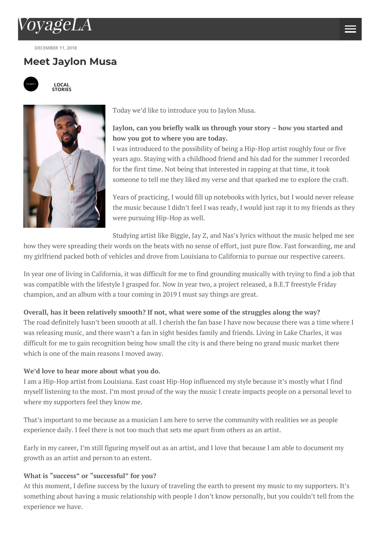

**D[ECEMBER](http://voyagela.com/) 11, 2018**

# **Me[et](http://la.voyagegems.co/) [Ja](http://voyagela.com/about-voyage-media/)[ylo](http://voyagela.com/downtown-la/)n Musa**



**LOCAL [STORIES](http://voyagela.com/author/voyagela/)**



Today we'd like to introduce you to Jaylon Musa.

# **Jaylon, can you briefly walk us through your story – how you started and how you got to where you are today.**

I was introduced to the possibility of being a Hip-Hop artist roughly four or five years ago. Staying with a childhood friend and his dad for the summer I recorded for the first time. Not being that interested in rapping at that time, it took someone to tell me they liked my verse and that sparked me to explore the craft.

Years of practicing, I would fill up notebooks with lyrics, but I would never release the music because I didn't feel I was ready, I would just rap it to my friends as they were pursuing Hip-Hop as well.

Studying artist like Biggie, Jay Z, and Nas's lyrics without the music helped me see

how they were spreading their words on the beats with no sense of effort, just pure flow. Fast forwarding, me and my girlfriend packed both of vehicles and drove from Louisiana to California to pursue our respective careers.

In year one of living in California, it was difficult for me to find grounding musically with trying to find a job that was compatible with the lifestyle I grasped for. Now in year two, a project released, a B.E.T freestyle Friday champion, and an album with a tour coming in 2019 I must say things are great.

## **Overall, has it been relatively smooth? If not, what were some of the struggles along the way?**

The road definitely hasn't been smooth at all. I cherish the fan base I have now because there was a time where I was releasing music, and there wasn't a fan in sight besides family and friends. Living in Lake Charles, it was difficult for me to gain recognition being how small the city is and there being no grand music market there which is one of the main reasons I moved away.

## **We'd love to hear more about what you do.**

I am a Hip-Hop artist from Louisiana. East coast Hip-Hop influenced my style because it's mostly what I find myself listening to the most. I'm most proud of the way the music I create impacts people on a personal level to where my supporters feel they know me.

That's important to me because as a musician I am here to serve the community with realities we as people experience daily. I feel there is not too much that sets me apart from others as an artist.

Early in my career, I'm still figuring myself out as an artist, and I love that because I am able to document my growth as an artist and person to an extent.

## **What is "success" or "successful" for you?**

At this moment, I define success by the luxury of traveling the earth to present my music to my supporters. It's something about having a music relationship with people I don't know personally, but you couldn't tell from the experience we have.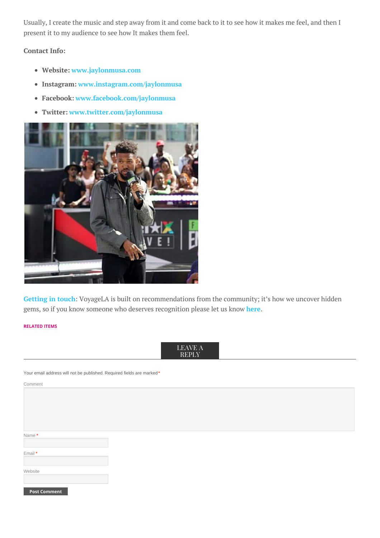Usually, I create the music and step away from it and come back to it to see how it makes me feel, and then I present it to my audience to see how It makes them feel.

## **Contact Info:**

- **Website: [www.jaylonmusa.com](http://www.jaylonmusa.com)**
- **Instagram: [www.instagram.com/jaylonmusa](http://www.instagram.com/jaylonmusa)**
- **Facebook: [www.facebook.com/jaylonmusa](http://www.facebook.com/jaylonmusa)**
- **Twitter: [www.twitter.com/jaylonmusa](http://www.twitter.com/jaylonmusa)**



**[Getting](http://la.voyagegems.co/) in touch**: VoyageLA is built on recommendations from the community; it's how we uncover hidden gems, so if you know someone who deserves recognition please let us know **[here](http://la.voyagegems.co/)**.

#### **RELATED ITEMS**



Your email address will not be published. Required fields are marked **\***

Comment

| Name *  |  |  |
|---------|--|--|
|         |  |  |
| Email * |  |  |
|         |  |  |
|         |  |  |
| Website |  |  |
|         |  |  |

**Post Comment**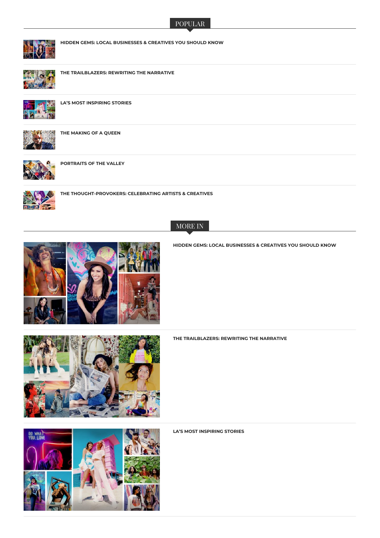#### POPULAR



**HIDDEN GEMS: LOCAL BUSINESSES & CREATIVES YOU SHOULD KNOW**



**THE TRAILBLAZERS: REWRITING THE NARRATIVE**



**LA'S MOST INSPIRING STORIES**



**THE MAKING OF A QUEEN**



**PORTRAITS OF THE VALLEY**



**THE THOUGHT-PROVOKERS: CELEBRATING ARTISTS & CREATIVES**



MORE IN

**HIDDEN GEMS: LOCAL [BUSINESSES](http://voyagela.com/2019/10/15/hidden-gems-local-businesses-creatives-know/) & CREATIVES YOU SHOULD KNOW**



**THE [TRAILBLAZERS:](http://voyagela.com/2019/10/15/trailblazers-rewriting-narrative/) REWRITING THE NARRATIVE**

**LA'S MOST [INSPIRING](http://voyagela.com/2019/10/14/las-most-inspiring-stories/) STORIES**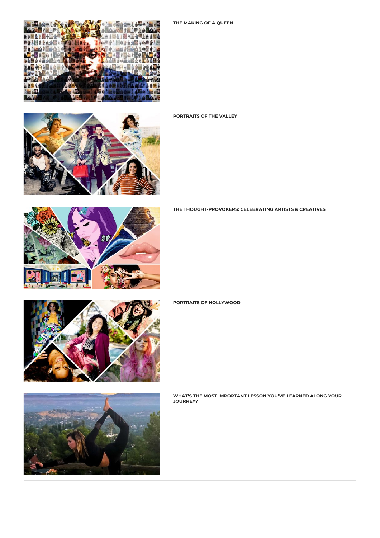



#### **[PORTRAITS](http://voyagela.com/2019/10/10/portraits-of-the-valley/) OF THE VALLEY**



**THE [THOUGHT-PROVOKERS:](http://voyagela.com/2019/10/10/thought-provokers-celebrating-la-artists-creatives/) CELEBRATING ARTISTS & CREATIVES**



#### **PORTRAITS OF [HOLLYWOOD](http://voyagela.com/2019/10/10/portraits-of-hollywood/)**



**WHAT'S THE MOST [IMPORTANT](http://voyagela.com/2019/09/19/whats-important-lesson-youve-learned-along-journey/) LESSON YOU'VE LEARNED ALONG YOUR JOURNEY?**